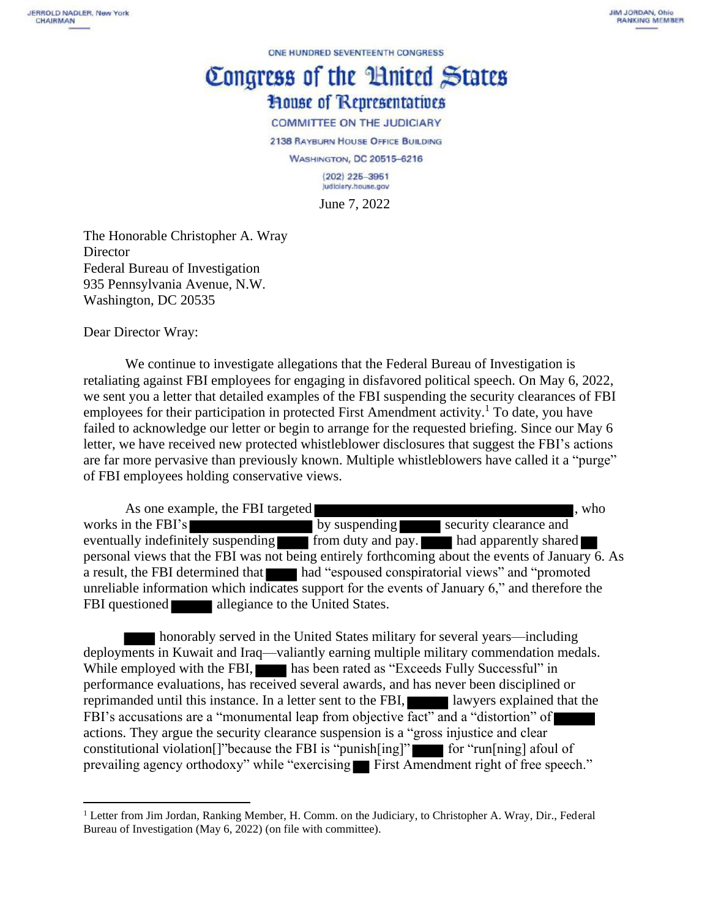ONE HUNDRED SEVENTEENTH CONGRESS

## Congress of the Huited States **House of Representatives**

**COMMITTEE ON THE JUDICIARY** 

2138 RAYBURN HOUSE OFFICE BUILDING

**WASHINGTON, DC 20515-6216** 

 $(202)$  225-3951 judiciary.house.gov

June 7, 2022

The Honorable Christopher A. Wray **Director** Federal Bureau of Investigation 935 Pennsylvania Avenue, N.W. Washington, DC 20535

Dear Director Wray:

We continue to investigate allegations that the Federal Bureau of Investigation is retaliating against FBI employees for engaging in disfavored political speech. On May 6, 2022, we sent you a letter that detailed examples of the FBI suspending the security clearances of FBI employees for their participation in protected First Amendment activity.<sup>1</sup> To date, you have failed to acknowledge our letter or begin to arrange for the requested briefing. Since our May 6 letter, we have received new protected whistleblower disclosures that suggest the FBI's actions are far more pervasive than previously known. Multiple whistleblowers have called it a "purge" of FBI employees holding conservative views.

As one example, the FBI targeted  $\blacksquare$ , who works in the FBI's by suspending security clearance and eventually indefinitely suspending from duty and pay. had apparently shared personal views that the FBI was not being entirely forthcoming about the events of January 6. As a result, the FBI determined that had "espoused conspiratorial views" and "promoted unreliable information which indicates support for the events of January  $6$ ," and therefore the FBI questioned **allegiance** to the United States.

honorably served in the United States military for several years—including deployments in Kuwait and Iraq—valiantly earning multiple military commendation medals. While employed with the FBI, has been rated as "Exceeds Fully Successful" in performance evaluations, has received several awards, and has never been disciplined or reprimanded until this instance. In a letter sent to the FBI, lawyers explained that the FBI's accusations are a "monumental leap from objective fact" and a "distortion" of actions. They argue the security clearance suspension is a "gross injustice and clear constitutional violation<sup>[]"because the FBI is "punish<sup>[ing]"</sup> for "run<sup>[ning]</sup> afoul of</sup> prevailing agency orthodoxy" while "exercising First Amendment right of free speech."

<sup>&</sup>lt;sup>1</sup> Letter from Jim Jordan, Ranking Member, H. Comm. on the Judiciary, to Christopher A. Wray, Dir., Federal Bureau of Investigation (May 6, 2022) (on file with committee).